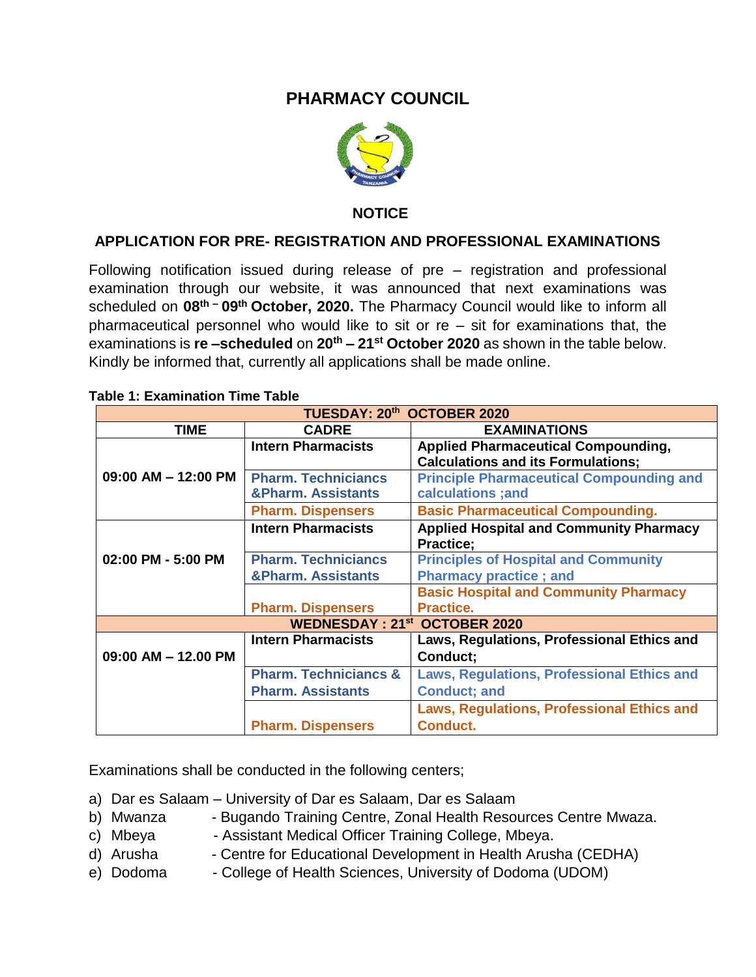## **PHARMACY COUNCIL**



 **NOTICE**

## **APPLICATION FOR PRE- REGISTRATION AND PROFESSIONAL EXAMINATIONS**

Following notification issued during release of pre – registration and professional examination through our website, it was announced that next examinations was scheduled on **08th – 09th October, 2020.** The Pharmacy Council would like to inform all pharmaceutical personnel who would like to sit or  $re - si$  for examinations that, the examinations is **re –scheduled** on **20th – 21st October 2020** as shown in the table below. Kindly be informed that, currently all applications shall be made online.

| TUESDAY: 20th OCTOBER 2020          |                                  |                                                   |
|-------------------------------------|----------------------------------|---------------------------------------------------|
| <b>TIME</b>                         | <b>CADRE</b>                     | <b>EXAMINATIONS</b>                               |
| 09:00 AM - 12:00 PM                 | <b>Intern Pharmacists</b>        | <b>Applied Pharmaceutical Compounding,</b>        |
|                                     |                                  | <b>Calculations and its Formulations;</b>         |
|                                     | <b>Pharm. Techniciancs</b>       | <b>Principle Pharmaceutical Compounding and</b>   |
|                                     | <b>&amp;Pharm. Assistants</b>    | calculations ; and                                |
|                                     | <b>Pharm. Dispensers</b>         | <b>Basic Pharmaceutical Compounding.</b>          |
| 02:00 PM - 5:00 PM                  | <b>Intern Pharmacists</b>        | <b>Applied Hospital and Community Pharmacy</b>    |
|                                     |                                  | <b>Practice:</b>                                  |
|                                     | <b>Pharm. Techniciancs</b>       | <b>Principles of Hospital and Community</b>       |
|                                     | <b>&amp;Pharm. Assistants</b>    | <b>Pharmacy practice; and</b>                     |
|                                     |                                  | <b>Basic Hospital and Community Pharmacy</b>      |
|                                     | <b>Pharm. Dispensers</b>         | Practice.                                         |
| <b>WEDNESDAY: 21st OCTOBER 2020</b> |                                  |                                                   |
|                                     | <b>Intern Pharmacists</b>        | Laws, Regulations, Professional Ethics and        |
| $09:00$ AM $-$ 12.00 PM             |                                  | Conduct;                                          |
|                                     | <b>Pharm. Techniciancs &amp;</b> | <b>Laws, Regulations, Professional Ethics and</b> |
|                                     | <b>Pharm. Assistants</b>         | <b>Conduct; and</b>                               |
|                                     |                                  | <b>Laws, Regulations, Professional Ethics and</b> |
|                                     | <b>Pharm. Dispensers</b>         | <b>Conduct.</b>                                   |

## **Table 1: Examination Time Table**

Examinations shall be conducted in the following centers;

- a) Dar es Salaam University of Dar es Salaam, Dar es Salaam
- b) Mwanza Bugando Training Centre, Zonal Health Resources Centre Mwaza.
- c) Mbeya Assistant Medical Officer Training College, Mbeya.
- d) Arusha Centre for Educational Development in Health Arusha (CEDHA)
- e) Dodoma College of Health Sciences, University of Dodoma (UDOM)